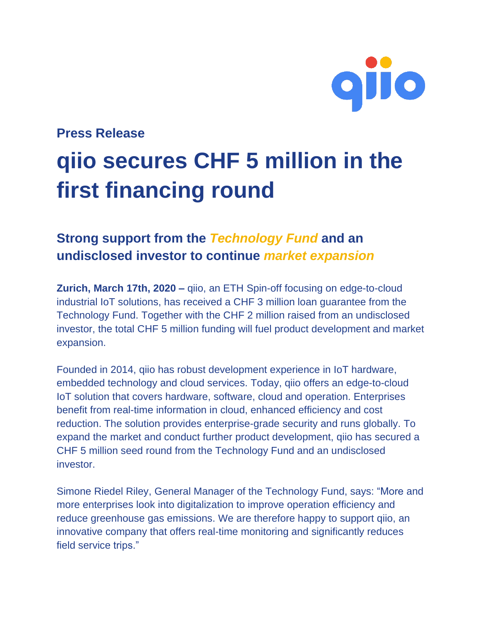

#### **Press Release**

# **qiio secures CHF 5 million in the first financing round**

## **Strong support from the** *Technology Fund* **and an undisclosed investor to continue** *market expansion*

**Zurich, March 17th, 2020 –** qiio, an ETH Spin-off focusing on edge-to-cloud industrial IoT solutions, has received a CHF 3 million loan guarantee from the Technology Fund. Together with the CHF 2 million raised from an undisclosed investor, the total CHF 5 million funding will fuel product development and market expansion.

Founded in 2014, qiio has robust development experience in IoT hardware, embedded technology and cloud services. Today, qiio offers an edge-to-cloud IoT solution that covers hardware, software, cloud and operation. Enterprises benefit from real-time information in cloud, enhanced efficiency and cost reduction. The solution provides enterprise-grade security and runs globally. To expand the market and conduct further product development, qiio has secured a CHF 5 million seed round from the Technology Fund and an undisclosed investor.

Simone Riedel Riley, General Manager of the Technology Fund, says: "More and more enterprises look into digitalization to improve operation efficiency and reduce greenhouse gas emissions. We are therefore happy to support qiio, an innovative company that offers real-time monitoring and significantly reduces field service trips."